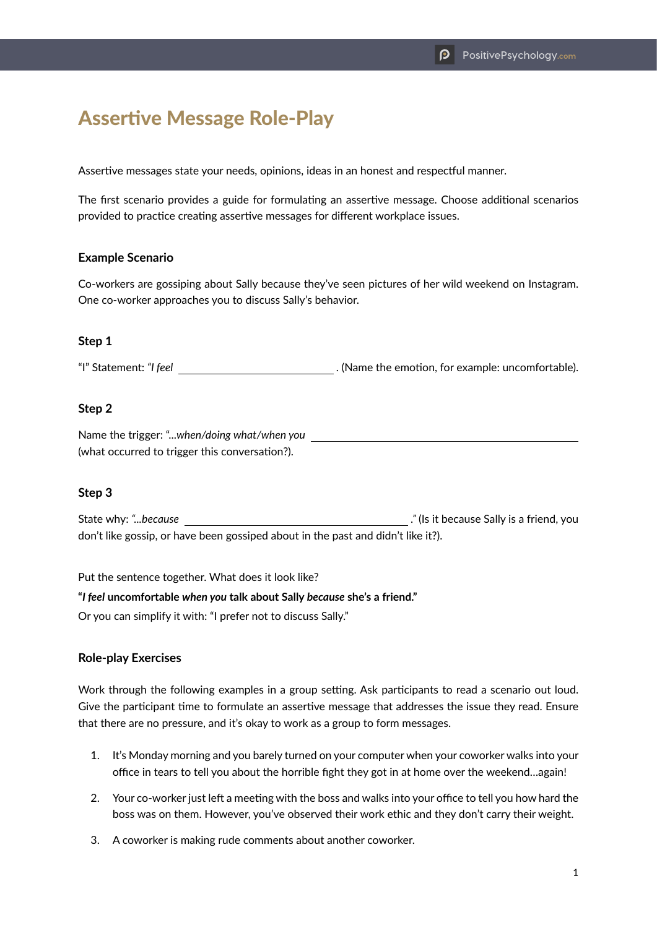# Assertive Message Role-Play

Assertive messages state your needs, opinions, ideas in an honest and respectful manner.

The first scenario provides a guide for formulating an assertive message. Choose additional scenarios provided to practice creating assertive messages for different workplace issues.

#### **Example Scenario**

Co-workers are gossiping about Sally because they've seen pictures of her wild weekend on Instagram. One co-worker approaches you to discuss Sally's behavior.

## **Step 1**

"I" Statement: "I feel *I* and *i* and *i* and *.* (Name the emotion, for example: uncomfortable).

## **Step 2**

Name the trigger: "...*when/doing what/when you* (what occurred to trigger this conversation?).

#### **Step 3**

State why: *"...because ."* (Is it because Sally is a friend, you don't like gossip, or have been gossiped about in the past and didn't like it?).

Put the sentence together. What does it look like?

**"***I feel* **uncomfortable** *when you* **talk about Sally** *because* **she's a friend."**

Or you can simplify it with: "I prefer not to discuss Sally."

## **Role-play Exercises**

Work through the following examples in a group setting. Ask participants to read a scenario out loud. Give the participant time to formulate an assertive message that addresses the issue they read. Ensure that there are no pressure, and it's okay to work as a group to form messages.

- 1. It's Monday morning and you barely turned on your computer when your coworker walks into your office in tears to tell you about the horrible fight they got in at home over the weekend…again!
- 2. Your co-worker just left a meeting with the boss and walks into your office to tell you how hard the boss was on them. However, you've observed their work ethic and they don't carry their weight.
- 3. A coworker is making rude comments about another coworker.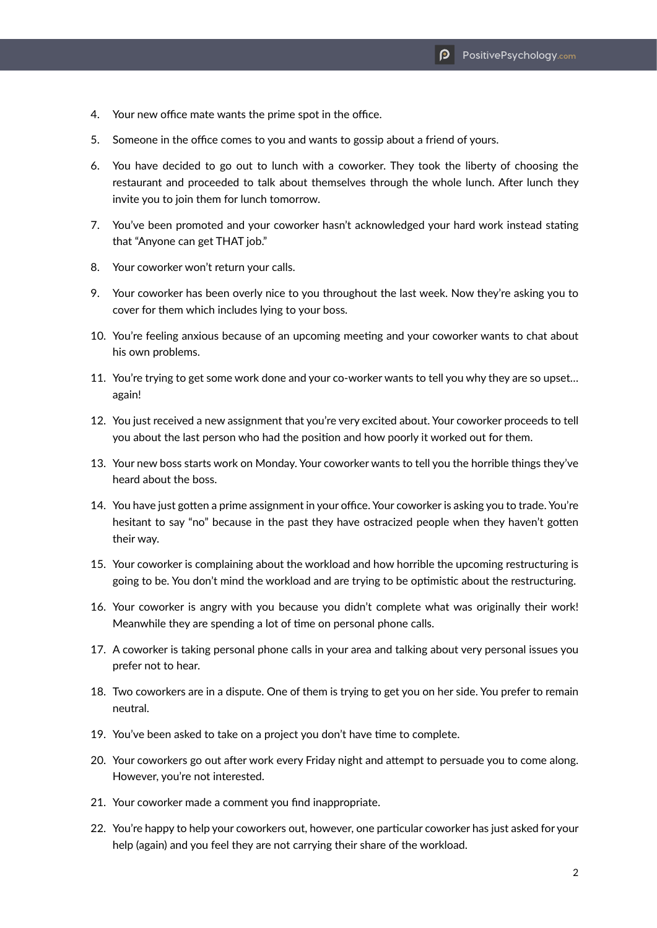- 4. Your new office mate wants the prime spot in the office.
- 5. Someone in the office comes to you and wants to gossip about a friend of yours.
- 6. You have decided to go out to lunch with a coworker. They took the liberty of choosing the restaurant and proceeded to talk about themselves through the whole lunch. After lunch they invite you to join them for lunch tomorrow.
- 7. You've been promoted and your coworker hasn't acknowledged your hard work instead stating that "Anyone can get THAT job."
- 8. Your coworker won't return your calls.
- 9. Your coworker has been overly nice to you throughout the last week. Now they're asking you to cover for them which includes lying to your boss.
- 10. You're feeling anxious because of an upcoming meeting and your coworker wants to chat about his own problems.
- 11. You're trying to get some work done and your co-worker wants to tell you why they are so upset... again!
- 12. You just received a new assignment that you're very excited about. Your coworker proceeds to tell you about the last person who had the position and how poorly it worked out for them.
- 13. Your new boss starts work on Monday. Your coworker wants to tell you the horrible things they've heard about the boss.
- 14. You have just gotten a prime assignment in your office. Your coworker is asking you to trade. You're hesitant to say "no" because in the past they have ostracized people when they haven't gotten their way.
- 15. Your coworker is complaining about the workload and how horrible the upcoming restructuring is going to be. You don't mind the workload and are trying to be optimistic about the restructuring.
- 16. Your coworker is angry with you because you didn't complete what was originally their work! Meanwhile they are spending a lot of time on personal phone calls.
- 17. A coworker is taking personal phone calls in your area and talking about very personal issues you prefer not to hear.
- 18. Two coworkers are in a dispute. One of them is trying to get you on her side. You prefer to remain neutral.
- 19. You've been asked to take on a project you don't have time to complete.
- 20. Your coworkers go out after work every Friday night and attempt to persuade you to come along. However, you're not interested.
- 21. Your coworker made a comment you find inappropriate.
- 22. You're happy to help your coworkers out, however, one particular coworker has just asked for your help (again) and you feel they are not carrying their share of the workload.